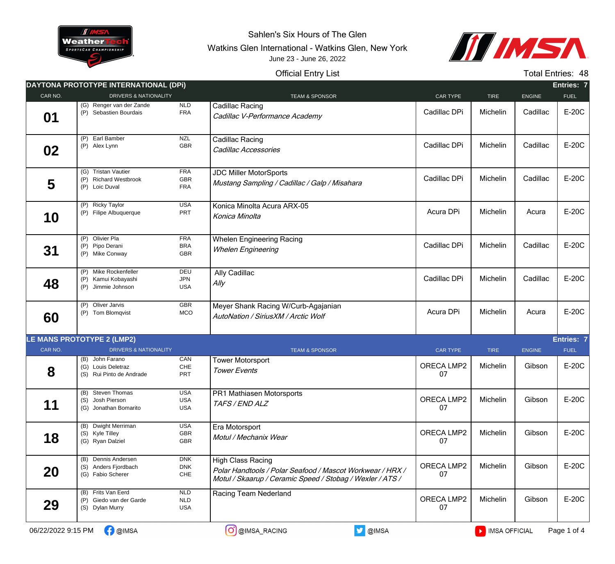

Sahlen's Six Hours of The Glen

Watkins Glen International - Watkins Glen, New York



## Official Entry List June 23 - June 26, 2022

Total Entries: 48

|                    | DAYTONA PROTOTYPE INTERNATIONAL (DPI)                              |                                         |                                                                                                                                                    |                         |               |               | Entries: 7  |
|--------------------|--------------------------------------------------------------------|-----------------------------------------|----------------------------------------------------------------------------------------------------------------------------------------------------|-------------------------|---------------|---------------|-------------|
| CAR NO.            | <b>DRIVERS &amp; NATIONALITY</b>                                   |                                         | <b>TEAM &amp; SPONSOR</b>                                                                                                                          | <b>CAR TYPE</b>         | <b>TIRE</b>   | <b>ENGINE</b> | <b>FUEL</b> |
| 01                 | (G) Renger van der Zande<br>(P) Sebastien Bourdais                 | NLD<br><b>FRA</b>                       | <b>Cadillac Racing</b><br>Cadillac V-Performance Academy                                                                                           | Cadillac DPi            | Michelin      | Cadillac      | E-20C       |
| 02                 | (P) Earl Bamber<br>(P) Alex Lynn                                   | <b>NZL</b><br><b>GBR</b>                | <b>Cadillac Racing</b><br>Cadillac Accessories                                                                                                     | Cadillac DPi            | Michelin      | Cadillac      | E-20C       |
| 5                  | (G) Tristan Vautier<br>(P) Richard Westbrook<br>(P) Loic Duval     | <b>FRA</b><br>GBR<br><b>FRA</b>         | <b>JDC Miller MotorSports</b><br>Mustang Sampling / Cadillac / Galp / Misahara                                                                     | Cadillac DPi            | Michelin      | Cadillac      | E-20C       |
| 10                 | (P) Ricky Taylor<br>(P) Filipe Albuquerque                         | <b>USA</b><br>PRT                       | Konica Minolta Acura ARX-05<br>Konica Minolta                                                                                                      | Acura DPi               | Michelin      | Acura         | E-20C       |
| 31                 | (P) Olivier Pla<br>(P) Pipo Derani<br>(P) Mike Conway              | <b>FRA</b><br><b>BRA</b><br>GBR         | <b>Whelen Engineering Racing</b><br><b>Whelen Engineering</b>                                                                                      | Cadillac DPi            | Michelin      | Cadillac      | E-20C       |
| 48                 | (P) Mike Rockenfeller<br>(P) Kamui Kobayashi<br>(P) Jimmie Johnson | <b>DEU</b><br><b>JPN</b><br><b>USA</b>  | Ally Cadillac<br>$A$ lly                                                                                                                           | Cadillac DPi            | Michelin      | Cadillac      | E-20C       |
| 60                 | (P) Oliver Jarvis<br>(P) Tom Blomqvist                             | GBR<br>MCO                              | Meyer Shank Racing W/Curb-Agajanian<br>AutoNation / SiriusXM / Arctic Wolf                                                                         | Acura DPi               | Michelin      | Acura         | E-20C       |
|                    | <b>LE MANS PROTOTYPE 2 (LMP2)</b>                                  |                                         |                                                                                                                                                    |                         |               |               | Entries: 7  |
| CAR NO.            | <b>DRIVERS &amp; NATIONALITY</b>                                   |                                         | <b>TEAM &amp; SPONSOR</b>                                                                                                                          | <b>CAR TYPE</b>         | <b>TIRE</b>   | <b>ENGINE</b> | <b>FUEL</b> |
| 8                  | (B) John Farano<br>(G) Louis Deletraz<br>(S) Rui Pinto de Andrade  | CAN<br>$CHE$<br>PRT                     | <b>Tower Motorsport</b><br><b>Tower Events</b>                                                                                                     | ORECA LMP2<br>07        | Michelin      | Gibson        | E-20C       |
| 11                 | (B) Steven Thomas<br>(S) Josh Pierson<br>(G) Jonathan Bomarito     | <b>USA</b><br><b>USA</b><br><b>USA</b>  | PR1 Mathiasen Motorsports<br>TAFS / END ALZ                                                                                                        | ORECA LMP2<br>07        | Michelin      | Gibson        | E-20C       |
| 18                 | (B) Dwight Merriman<br>(S) Kyle Tilley<br>(G) Ryan Dalziel         | <b>USA</b><br>GBR<br>GBR                | Era Motorsport<br>Motul / Mechanix Wear                                                                                                            | <b>ORECA LMP2</b><br>07 | Michelin      | Gibson        | E-20C       |
| 20                 | (B) Dennis Andersen<br>(S) Anders Fjordbach<br>(G) Fabio Scherer   | <b>DNK</b><br><b>DNK</b><br>${\sf CHE}$ | <b>High Class Racing</b><br>Polar Handtools / Polar Seafood / Mascot Workwear / HRX /<br>Motul / Skaarup / Ceramic Speed / Stobag / Wexler / ATS / | ORECA LMP2<br>07        | Michelin      | Gibson        | E-20C       |
| 29                 | (B) Frits Van Eerd<br>(P) Giedo van der Garde<br>(S) Dylan Murry   | NLD<br><b>NLD</b><br><b>USA</b>         | Racing Team Nederland                                                                                                                              | ORECA LMP2<br>07        | Michelin      | Gibson        | E-20C       |
| 06/22/2022 9:15 PM | <b>C</b> @IMSA                                                     |                                         | O @IMSA<br>O @IMSA_RACING                                                                                                                          |                         | MISA OFFICIAL |               | Page 1 of 4 |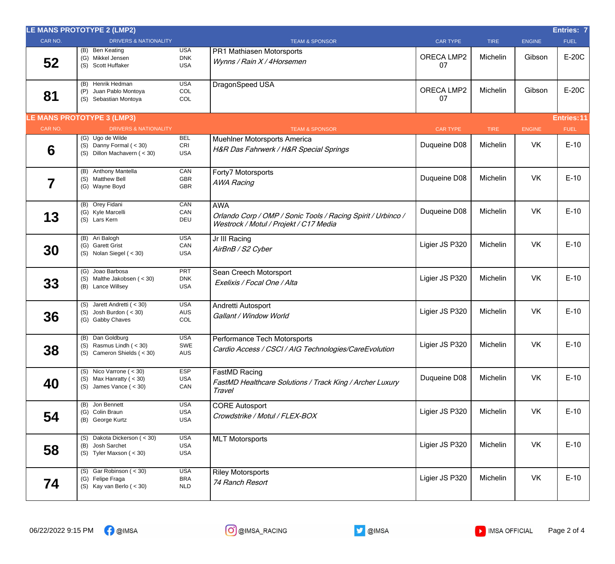| CAR NO.<br><b>DRIVERS &amp; NATIONALITY</b><br><b>TEAM &amp; SPONSOR</b><br><b>CAR TYPE</b><br><b>TIRE</b><br><b>ENGINE</b><br><b>FUEL</b><br><b>USA</b><br>(B) Ben Keating<br>PR1 Mathiasen Motorsports<br>E-20C<br>ORECA LMP2<br>Gibson<br>Michelin<br><b>DNK</b><br>(G) Mikkel Jensen<br>52<br>Wynns / Rain X / 4Horsemen<br>07<br>(S) Scott Huffaker<br><b>USA</b><br>(B) Henrik Hedman<br><b>USA</b><br>DragonSpeed USA<br>E-20C<br>ORECA LMP2<br>Gibson<br>Michelin<br>COL<br>Juan Pablo Montoya<br>(P)<br>81<br>07<br>COL<br>(S) Sebastian Montoya<br><b>LE MANS PROTOTYPE 3 (LMP3)</b><br>Entries: 11<br>CAR NO.<br><b>DRIVERS &amp; NATIONALITY</b><br><b>TEAM &amp; SPONSOR</b><br><b>CAR TYPE</b><br><b>TIRE</b><br><b>ENGINE</b><br><b>FUEL</b><br>$(G)$ Ugo de Wilde<br><b>BEL</b><br><b>Muehlner Motorsports America</b><br>$E-10$<br>VK<br>Duqueine D08<br>Michelin<br>(S) Danny Formal $(30)$<br>CRI<br>6<br>H&R Das Fahrwerk / H&R Special Springs<br>(S) Dillon Machavern (< 30)<br><b>USA</b><br>(B) Anthony Mantella<br>CAN<br>Forty7 Motorsports<br><b>VK</b><br>$E-10$<br>Duqueine D08<br>Michelin<br>(S) Matthew Bell<br>GBR<br>7<br><b>AWA Racing</b><br>GBR<br>(G) Wayne Boyd<br>(B) Orey Fidani<br>CAN<br><b>AWA</b><br><b>VK</b><br>$E-10$<br>Duqueine D08<br>Michelin<br>(G) Kyle Marcelli<br>CAN<br>13<br>Orlando Corp / OMP / Sonic Tools / Racing Spirit / Urbinco /<br>DEU<br>(S) Lars Kern<br>Westrock / Motul / Projekt / C17 Media<br>(B) Ari Balogh<br><b>USA</b><br>Jr III Racing<br>$E-10$<br>Ligier JS P320<br><b>VK</b><br>Michelin<br>CAN<br>(G) Garett Grist<br>30<br>AirBnB / S2 Cyber<br><b>USA</b><br>$(S)$ Nolan Siegel $(30)$<br>(G) Joao Barbosa<br><b>PRT</b><br>Sean Creech Motorsport<br>$E-10$<br>Ligier JS P320<br>VK<br>Michelin<br><b>DNK</b><br>(S) Malthe Jakobsen (< 30)<br>33<br>Exelixis / Focal One / Alta<br><b>USA</b><br>(B) Lance Willsey<br>(S) Jarett Andretti $( < 30)$<br><b>USA</b><br>Andretti Autosport<br>$E-10$<br>VK<br>Ligier JS P320<br>Michelin<br>AUS<br>$(S)$ Josh Burdon $(< 30)$<br>36<br>Gallant / Window World<br>(G) Gabby Chaves<br>COL<br><b>USA</b><br>(B) Dan Goldburg<br>Performance Tech Motorsports<br>Ligier JS P320<br>VK<br>Michelin<br>$E-10$<br>(S) Rasmus Lindh $( < 30)$<br>SWE<br>38<br>Cardio Access / CSCI / AIG Technologies/CareEvolution<br>(S) Cameron Shields $(30)$<br>AUS<br>(S) Nico Varrone $(30)$<br>ESP<br>FastMD Racing<br><b>VK</b><br>$E-10$<br>Duqueine D08<br>Michelin<br>(S) Max Hanratty ( $<$ 30)<br><b>USA</b><br>40<br>FastMD Healthcare Solutions / Track King / Archer Luxury<br>(S) James Vance $( < 30)$<br>CAN<br>Travel<br>(B) Jon Bennett<br><b>USA</b><br><b>CORE Autosport</b><br>$E-10$<br>Ligier JS P320<br>VK<br>Michelin<br>(G) Colin Braun<br><b>USA</b><br>54<br>Crowdstrike / Motul / FLEX-BOX<br><b>USA</b><br>(B) George Kurtz<br>(S) Dakota Dickerson (< 30)<br><b>USA</b><br><b>MLT Motorsports</b><br>$E-10$<br>Ligier JS P320<br>VK<br>Michelin<br><b>USA</b><br>(B) Josh Sarchet<br>58<br>(S) Tyler Maxson $(30)$<br><b>USA</b><br>(S) Gar Robinson $(30)$<br><b>USA</b><br><b>Riley Motorsports</b><br>$E-10$<br>Ligier JS P320<br>VK<br>Michelin<br>(G) Felipe Fraga<br><b>BRA</b><br>74<br>74 Ranch Resort<br>(S) Kay van Berlo $(30)$<br><b>NLD</b> | LE MANS PROTOTYPE 2 (LMP2) |  |  | <b>Entries: 7</b> |
|-----------------------------------------------------------------------------------------------------------------------------------------------------------------------------------------------------------------------------------------------------------------------------------------------------------------------------------------------------------------------------------------------------------------------------------------------------------------------------------------------------------------------------------------------------------------------------------------------------------------------------------------------------------------------------------------------------------------------------------------------------------------------------------------------------------------------------------------------------------------------------------------------------------------------------------------------------------------------------------------------------------------------------------------------------------------------------------------------------------------------------------------------------------------------------------------------------------------------------------------------------------------------------------------------------------------------------------------------------------------------------------------------------------------------------------------------------------------------------------------------------------------------------------------------------------------------------------------------------------------------------------------------------------------------------------------------------------------------------------------------------------------------------------------------------------------------------------------------------------------------------------------------------------------------------------------------------------------------------------------------------------------------------------------------------------------------------------------------------------------------------------------------------------------------------------------------------------------------------------------------------------------------------------------------------------------------------------------------------------------------------------------------------------------------------------------------------------------------------------------------------------------------------------------------------------------------------------------------------------------------------------------------------------------------------------------------------------------------------------------------------------------------------------------------------------------------------------------------------------------------------------------------------------------------------------------------------------------------------------------------------------------------------------------------------------------------------------------------------------------------------------------------------------------------------------------------------------------------------------------------------------------------------------------------------------|----------------------------|--|--|-------------------|
|                                                                                                                                                                                                                                                                                                                                                                                                                                                                                                                                                                                                                                                                                                                                                                                                                                                                                                                                                                                                                                                                                                                                                                                                                                                                                                                                                                                                                                                                                                                                                                                                                                                                                                                                                                                                                                                                                                                                                                                                                                                                                                                                                                                                                                                                                                                                                                                                                                                                                                                                                                                                                                                                                                                                                                                                                                                                                                                                                                                                                                                                                                                                                                                                                                                                                                           |                            |  |  |                   |
|                                                                                                                                                                                                                                                                                                                                                                                                                                                                                                                                                                                                                                                                                                                                                                                                                                                                                                                                                                                                                                                                                                                                                                                                                                                                                                                                                                                                                                                                                                                                                                                                                                                                                                                                                                                                                                                                                                                                                                                                                                                                                                                                                                                                                                                                                                                                                                                                                                                                                                                                                                                                                                                                                                                                                                                                                                                                                                                                                                                                                                                                                                                                                                                                                                                                                                           |                            |  |  |                   |
|                                                                                                                                                                                                                                                                                                                                                                                                                                                                                                                                                                                                                                                                                                                                                                                                                                                                                                                                                                                                                                                                                                                                                                                                                                                                                                                                                                                                                                                                                                                                                                                                                                                                                                                                                                                                                                                                                                                                                                                                                                                                                                                                                                                                                                                                                                                                                                                                                                                                                                                                                                                                                                                                                                                                                                                                                                                                                                                                                                                                                                                                                                                                                                                                                                                                                                           |                            |  |  |                   |
|                                                                                                                                                                                                                                                                                                                                                                                                                                                                                                                                                                                                                                                                                                                                                                                                                                                                                                                                                                                                                                                                                                                                                                                                                                                                                                                                                                                                                                                                                                                                                                                                                                                                                                                                                                                                                                                                                                                                                                                                                                                                                                                                                                                                                                                                                                                                                                                                                                                                                                                                                                                                                                                                                                                                                                                                                                                                                                                                                                                                                                                                                                                                                                                                                                                                                                           |                            |  |  |                   |
|                                                                                                                                                                                                                                                                                                                                                                                                                                                                                                                                                                                                                                                                                                                                                                                                                                                                                                                                                                                                                                                                                                                                                                                                                                                                                                                                                                                                                                                                                                                                                                                                                                                                                                                                                                                                                                                                                                                                                                                                                                                                                                                                                                                                                                                                                                                                                                                                                                                                                                                                                                                                                                                                                                                                                                                                                                                                                                                                                                                                                                                                                                                                                                                                                                                                                                           |                            |  |  |                   |
|                                                                                                                                                                                                                                                                                                                                                                                                                                                                                                                                                                                                                                                                                                                                                                                                                                                                                                                                                                                                                                                                                                                                                                                                                                                                                                                                                                                                                                                                                                                                                                                                                                                                                                                                                                                                                                                                                                                                                                                                                                                                                                                                                                                                                                                                                                                                                                                                                                                                                                                                                                                                                                                                                                                                                                                                                                                                                                                                                                                                                                                                                                                                                                                                                                                                                                           |                            |  |  |                   |
|                                                                                                                                                                                                                                                                                                                                                                                                                                                                                                                                                                                                                                                                                                                                                                                                                                                                                                                                                                                                                                                                                                                                                                                                                                                                                                                                                                                                                                                                                                                                                                                                                                                                                                                                                                                                                                                                                                                                                                                                                                                                                                                                                                                                                                                                                                                                                                                                                                                                                                                                                                                                                                                                                                                                                                                                                                                                                                                                                                                                                                                                                                                                                                                                                                                                                                           |                            |  |  |                   |
|                                                                                                                                                                                                                                                                                                                                                                                                                                                                                                                                                                                                                                                                                                                                                                                                                                                                                                                                                                                                                                                                                                                                                                                                                                                                                                                                                                                                                                                                                                                                                                                                                                                                                                                                                                                                                                                                                                                                                                                                                                                                                                                                                                                                                                                                                                                                                                                                                                                                                                                                                                                                                                                                                                                                                                                                                                                                                                                                                                                                                                                                                                                                                                                                                                                                                                           |                            |  |  |                   |
|                                                                                                                                                                                                                                                                                                                                                                                                                                                                                                                                                                                                                                                                                                                                                                                                                                                                                                                                                                                                                                                                                                                                                                                                                                                                                                                                                                                                                                                                                                                                                                                                                                                                                                                                                                                                                                                                                                                                                                                                                                                                                                                                                                                                                                                                                                                                                                                                                                                                                                                                                                                                                                                                                                                                                                                                                                                                                                                                                                                                                                                                                                                                                                                                                                                                                                           |                            |  |  |                   |
|                                                                                                                                                                                                                                                                                                                                                                                                                                                                                                                                                                                                                                                                                                                                                                                                                                                                                                                                                                                                                                                                                                                                                                                                                                                                                                                                                                                                                                                                                                                                                                                                                                                                                                                                                                                                                                                                                                                                                                                                                                                                                                                                                                                                                                                                                                                                                                                                                                                                                                                                                                                                                                                                                                                                                                                                                                                                                                                                                                                                                                                                                                                                                                                                                                                                                                           |                            |  |  |                   |
|                                                                                                                                                                                                                                                                                                                                                                                                                                                                                                                                                                                                                                                                                                                                                                                                                                                                                                                                                                                                                                                                                                                                                                                                                                                                                                                                                                                                                                                                                                                                                                                                                                                                                                                                                                                                                                                                                                                                                                                                                                                                                                                                                                                                                                                                                                                                                                                                                                                                                                                                                                                                                                                                                                                                                                                                                                                                                                                                                                                                                                                                                                                                                                                                                                                                                                           |                            |  |  |                   |
|                                                                                                                                                                                                                                                                                                                                                                                                                                                                                                                                                                                                                                                                                                                                                                                                                                                                                                                                                                                                                                                                                                                                                                                                                                                                                                                                                                                                                                                                                                                                                                                                                                                                                                                                                                                                                                                                                                                                                                                                                                                                                                                                                                                                                                                                                                                                                                                                                                                                                                                                                                                                                                                                                                                                                                                                                                                                                                                                                                                                                                                                                                                                                                                                                                                                                                           |                            |  |  |                   |
|                                                                                                                                                                                                                                                                                                                                                                                                                                                                                                                                                                                                                                                                                                                                                                                                                                                                                                                                                                                                                                                                                                                                                                                                                                                                                                                                                                                                                                                                                                                                                                                                                                                                                                                                                                                                                                                                                                                                                                                                                                                                                                                                                                                                                                                                                                                                                                                                                                                                                                                                                                                                                                                                                                                                                                                                                                                                                                                                                                                                                                                                                                                                                                                                                                                                                                           |                            |  |  |                   |
|                                                                                                                                                                                                                                                                                                                                                                                                                                                                                                                                                                                                                                                                                                                                                                                                                                                                                                                                                                                                                                                                                                                                                                                                                                                                                                                                                                                                                                                                                                                                                                                                                                                                                                                                                                                                                                                                                                                                                                                                                                                                                                                                                                                                                                                                                                                                                                                                                                                                                                                                                                                                                                                                                                                                                                                                                                                                                                                                                                                                                                                                                                                                                                                                                                                                                                           |                            |  |  |                   |
|                                                                                                                                                                                                                                                                                                                                                                                                                                                                                                                                                                                                                                                                                                                                                                                                                                                                                                                                                                                                                                                                                                                                                                                                                                                                                                                                                                                                                                                                                                                                                                                                                                                                                                                                                                                                                                                                                                                                                                                                                                                                                                                                                                                                                                                                                                                                                                                                                                                                                                                                                                                                                                                                                                                                                                                                                                                                                                                                                                                                                                                                                                                                                                                                                                                                                                           |                            |  |  |                   |
|                                                                                                                                                                                                                                                                                                                                                                                                                                                                                                                                                                                                                                                                                                                                                                                                                                                                                                                                                                                                                                                                                                                                                                                                                                                                                                                                                                                                                                                                                                                                                                                                                                                                                                                                                                                                                                                                                                                                                                                                                                                                                                                                                                                                                                                                                                                                                                                                                                                                                                                                                                                                                                                                                                                                                                                                                                                                                                                                                                                                                                                                                                                                                                                                                                                                                                           |                            |  |  |                   |
|                                                                                                                                                                                                                                                                                                                                                                                                                                                                                                                                                                                                                                                                                                                                                                                                                                                                                                                                                                                                                                                                                                                                                                                                                                                                                                                                                                                                                                                                                                                                                                                                                                                                                                                                                                                                                                                                                                                                                                                                                                                                                                                                                                                                                                                                                                                                                                                                                                                                                                                                                                                                                                                                                                                                                                                                                                                                                                                                                                                                                                                                                                                                                                                                                                                                                                           |                            |  |  |                   |
|                                                                                                                                                                                                                                                                                                                                                                                                                                                                                                                                                                                                                                                                                                                                                                                                                                                                                                                                                                                                                                                                                                                                                                                                                                                                                                                                                                                                                                                                                                                                                                                                                                                                                                                                                                                                                                                                                                                                                                                                                                                                                                                                                                                                                                                                                                                                                                                                                                                                                                                                                                                                                                                                                                                                                                                                                                                                                                                                                                                                                                                                                                                                                                                                                                                                                                           |                            |  |  |                   |
|                                                                                                                                                                                                                                                                                                                                                                                                                                                                                                                                                                                                                                                                                                                                                                                                                                                                                                                                                                                                                                                                                                                                                                                                                                                                                                                                                                                                                                                                                                                                                                                                                                                                                                                                                                                                                                                                                                                                                                                                                                                                                                                                                                                                                                                                                                                                                                                                                                                                                                                                                                                                                                                                                                                                                                                                                                                                                                                                                                                                                                                                                                                                                                                                                                                                                                           |                            |  |  |                   |
|                                                                                                                                                                                                                                                                                                                                                                                                                                                                                                                                                                                                                                                                                                                                                                                                                                                                                                                                                                                                                                                                                                                                                                                                                                                                                                                                                                                                                                                                                                                                                                                                                                                                                                                                                                                                                                                                                                                                                                                                                                                                                                                                                                                                                                                                                                                                                                                                                                                                                                                                                                                                                                                                                                                                                                                                                                                                                                                                                                                                                                                                                                                                                                                                                                                                                                           |                            |  |  |                   |
|                                                                                                                                                                                                                                                                                                                                                                                                                                                                                                                                                                                                                                                                                                                                                                                                                                                                                                                                                                                                                                                                                                                                                                                                                                                                                                                                                                                                                                                                                                                                                                                                                                                                                                                                                                                                                                                                                                                                                                                                                                                                                                                                                                                                                                                                                                                                                                                                                                                                                                                                                                                                                                                                                                                                                                                                                                                                                                                                                                                                                                                                                                                                                                                                                                                                                                           |                            |  |  |                   |
|                                                                                                                                                                                                                                                                                                                                                                                                                                                                                                                                                                                                                                                                                                                                                                                                                                                                                                                                                                                                                                                                                                                                                                                                                                                                                                                                                                                                                                                                                                                                                                                                                                                                                                                                                                                                                                                                                                                                                                                                                                                                                                                                                                                                                                                                                                                                                                                                                                                                                                                                                                                                                                                                                                                                                                                                                                                                                                                                                                                                                                                                                                                                                                                                                                                                                                           |                            |  |  |                   |
|                                                                                                                                                                                                                                                                                                                                                                                                                                                                                                                                                                                                                                                                                                                                                                                                                                                                                                                                                                                                                                                                                                                                                                                                                                                                                                                                                                                                                                                                                                                                                                                                                                                                                                                                                                                                                                                                                                                                                                                                                                                                                                                                                                                                                                                                                                                                                                                                                                                                                                                                                                                                                                                                                                                                                                                                                                                                                                                                                                                                                                                                                                                                                                                                                                                                                                           |                            |  |  |                   |
|                                                                                                                                                                                                                                                                                                                                                                                                                                                                                                                                                                                                                                                                                                                                                                                                                                                                                                                                                                                                                                                                                                                                                                                                                                                                                                                                                                                                                                                                                                                                                                                                                                                                                                                                                                                                                                                                                                                                                                                                                                                                                                                                                                                                                                                                                                                                                                                                                                                                                                                                                                                                                                                                                                                                                                                                                                                                                                                                                                                                                                                                                                                                                                                                                                                                                                           |                            |  |  |                   |
|                                                                                                                                                                                                                                                                                                                                                                                                                                                                                                                                                                                                                                                                                                                                                                                                                                                                                                                                                                                                                                                                                                                                                                                                                                                                                                                                                                                                                                                                                                                                                                                                                                                                                                                                                                                                                                                                                                                                                                                                                                                                                                                                                                                                                                                                                                                                                                                                                                                                                                                                                                                                                                                                                                                                                                                                                                                                                                                                                                                                                                                                                                                                                                                                                                                                                                           |                            |  |  |                   |
|                                                                                                                                                                                                                                                                                                                                                                                                                                                                                                                                                                                                                                                                                                                                                                                                                                                                                                                                                                                                                                                                                                                                                                                                                                                                                                                                                                                                                                                                                                                                                                                                                                                                                                                                                                                                                                                                                                                                                                                                                                                                                                                                                                                                                                                                                                                                                                                                                                                                                                                                                                                                                                                                                                                                                                                                                                                                                                                                                                                                                                                                                                                                                                                                                                                                                                           |                            |  |  |                   |
|                                                                                                                                                                                                                                                                                                                                                                                                                                                                                                                                                                                                                                                                                                                                                                                                                                                                                                                                                                                                                                                                                                                                                                                                                                                                                                                                                                                                                                                                                                                                                                                                                                                                                                                                                                                                                                                                                                                                                                                                                                                                                                                                                                                                                                                                                                                                                                                                                                                                                                                                                                                                                                                                                                                                                                                                                                                                                                                                                                                                                                                                                                                                                                                                                                                                                                           |                            |  |  |                   |
|                                                                                                                                                                                                                                                                                                                                                                                                                                                                                                                                                                                                                                                                                                                                                                                                                                                                                                                                                                                                                                                                                                                                                                                                                                                                                                                                                                                                                                                                                                                                                                                                                                                                                                                                                                                                                                                                                                                                                                                                                                                                                                                                                                                                                                                                                                                                                                                                                                                                                                                                                                                                                                                                                                                                                                                                                                                                                                                                                                                                                                                                                                                                                                                                                                                                                                           |                            |  |  |                   |
|                                                                                                                                                                                                                                                                                                                                                                                                                                                                                                                                                                                                                                                                                                                                                                                                                                                                                                                                                                                                                                                                                                                                                                                                                                                                                                                                                                                                                                                                                                                                                                                                                                                                                                                                                                                                                                                                                                                                                                                                                                                                                                                                                                                                                                                                                                                                                                                                                                                                                                                                                                                                                                                                                                                                                                                                                                                                                                                                                                                                                                                                                                                                                                                                                                                                                                           |                            |  |  |                   |

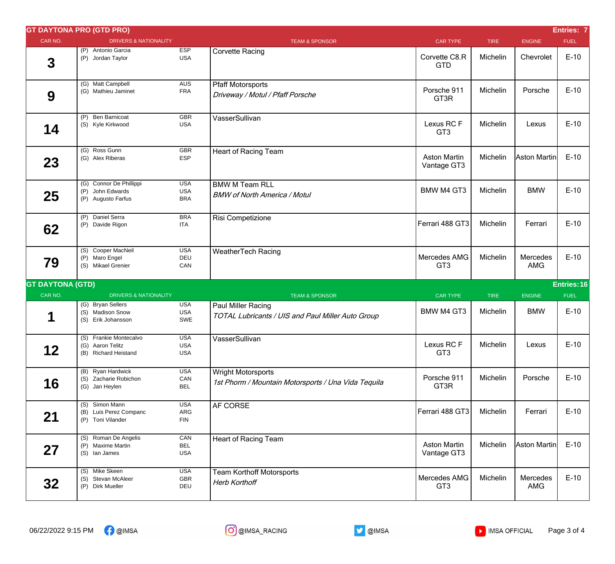|                         | <b>GT DAYTONA PRO (GTD PRO)</b>                                    |                                        |                                                                                  |                                    |             |                        | Entries: 7  |
|-------------------------|--------------------------------------------------------------------|----------------------------------------|----------------------------------------------------------------------------------|------------------------------------|-------------|------------------------|-------------|
| CAR NO.                 | <b>DRIVERS &amp; NATIONALITY</b>                                   |                                        | <b>TEAM &amp; SPONSOR</b>                                                        | <b>CAR TYPE</b>                    | <b>TIRE</b> | <b>ENGINE</b>          | <b>FUEL</b> |
| $\mathbf 3$             | (P) Antonio Garcia<br>(P) Jordan Taylor                            | <b>ESP</b><br><b>USA</b>               | <b>Corvette Racing</b>                                                           | Corvette C8.R<br><b>GTD</b>        | Michelin    | Chevrolet              | $E-10$      |
| 9                       | (G) Matt Campbell<br>(G) Mathieu Jaminet                           | <b>AUS</b><br><b>FRA</b>               | <b>Pfaff Motorsports</b><br>Driveway / Motul / Pfaff Porsche                     | Porsche 911<br>GT3R                | Michelin    | Porsche                | $E-10$      |
| 14                      | (P) Ben Barnicoat<br>(S) Kyle Kirkwood                             | <b>GBR</b><br><b>USA</b>               | VasserSullivan                                                                   | Lexus RCF<br>GT <sub>3</sub>       | Michelin    | Lexus                  | $E-10$      |
| 23                      | (G) Ross Gunn<br>(G) Alex Riberas                                  | <b>GBR</b><br><b>ESP</b>               | <b>Heart of Racing Team</b>                                                      | <b>Aston Martin</b><br>Vantage GT3 | Michelin    | Aston Martin           | $E-10$      |
| 25                      | (G) Connor De Phillippi<br>(P) John Edwards<br>(P) Augusto Farfus  | <b>USA</b><br><b>USA</b><br><b>BRA</b> | <b>BMW M Team RLL</b><br><b>BMW of North America / Motul</b>                     | <b>BMW M4 GT3</b>                  | Michelin    | <b>BMW</b>             | $E-10$      |
| 62                      | (P) Daniel Serra<br>(P) Davide Rigon                               | <b>BRA</b><br><b>ITA</b>               | Risi Competizione                                                                | Ferrari 488 GT3                    | Michelin    | Ferrari                | $E-10$      |
| 79                      | (S) Cooper MacNeil<br>(P) Maro Engel<br>(S) Mikael Grenier         | <b>USA</b><br>DEU<br>CAN               | <b>WeatherTech Racing</b>                                                        | Mercedes AMG<br>GT <sub>3</sub>    | Michelin    | Mercedes<br><b>AMG</b> | $E-10$      |
| <b>GT DAYTONA (GTD)</b> |                                                                    |                                        |                                                                                  |                                    |             |                        | Entries: 16 |
| CAR NO.                 | <b>DRIVERS &amp; NATIONALITY</b>                                   |                                        | <b>TEAM &amp; SPONSOR</b>                                                        | <b>CAR TYPE</b>                    | <b>TIRE</b> | <b>ENGINE</b>          | <b>FUEL</b> |
| 1                       | (G) Bryan Sellers<br>(S) Madison Snow<br>(S) Erik Johansson        | <b>USA</b><br><b>USA</b><br>SWE        | Paul Miller Racing<br>TOTAL Lubricants / UIS and Paul Miller Auto Group          | <b>BMW M4 GT3</b>                  | Michelin    | <b>BMW</b>             | $E-10$      |
| 12                      | (S) Frankie Montecalvo<br>(G) Aaron Telitz<br>(B) Richard Heistand | <b>USA</b><br><b>USA</b><br><b>USA</b> | VasserSullivan                                                                   | Lexus RC F<br>GT <sub>3</sub>      | Michelin    | Lexus                  | $E-10$      |
| 16                      | (B) Ryan Hardwick<br>(S) Zacharie Robichon<br>(G) Jan Heylen       | <b>USA</b><br>CAN<br><b>BEL</b>        | <b>Wright Motorsports</b><br>1st Phorm / Mountain Motorsports / Una Vida Tequila | Porsche 911<br>GT3R                | Michelin    | Porsche                | $E-10$      |
| 21                      | (S) Simon Mann<br>(B) Luis Perez Companc<br>(P) Toni Vilander      | <b>USA</b><br>ARG<br><b>FIN</b>        | AF CORSE                                                                         | Ferrari 488 GT3                    | Michelin    | Ferrari                | $E-10$      |
| 27                      | (S) Roman De Angelis<br>(P) Maxime Martin<br>(S) lan James         | CAN<br><b>BEL</b><br><b>USA</b>        | Heart of Racing Team                                                             | <b>Aston Martin</b><br>Vantage GT3 | Michelin    | Aston Martin           | $E-10$      |
| 32                      | (S) Mike Skeen<br>(S) Stevan McAleer<br>(P) Dirk Mueller           | <b>USA</b><br><b>GBR</b><br>DEU        | <b>Team Korthoff Motorsports</b><br><b>Herb Korthoff</b>                         | Mercedes AMG<br>GT <sub>3</sub>    | Michelin    | Mercedes<br>AMG        | $E-10$      |